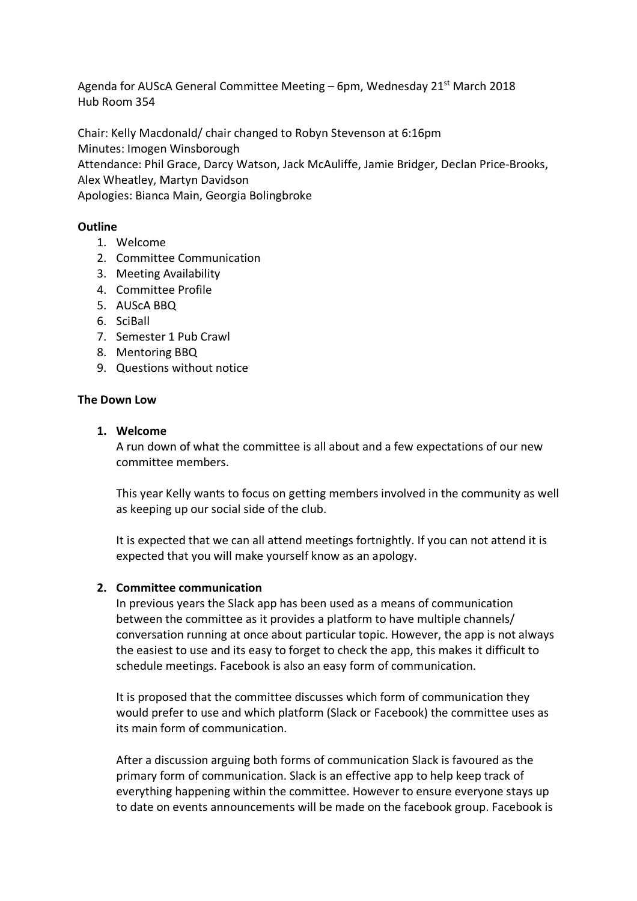Agenda for AUScA General Committee Meeting – 6pm, Wednesday 21st March 2018 Hub Room 354

Chair: Kelly Macdonald/ chair changed to Robyn Stevenson at 6:16pm Minutes: Imogen Winsborough Attendance: Phil Grace, Darcy Watson, Jack McAuliffe, Jamie Bridger, Declan Price-Brooks, Alex Wheatley, Martyn Davidson

Apologies: Bianca Main, Georgia Bolingbroke

#### **Outline**

- 1. Welcome
- 2. Committee Communication
- 3. Meeting Availability
- 4. Committee Profile
- 5. AUScA BBQ
- 6. SciBall
- 7. Semester 1 Pub Crawl
- 8. Mentoring BBQ
- 9. Questions without notice

#### **The Down Low**

#### **1. Welcome**

A run down of what the committee is all about and a few expectations of our new committee members.

This year Kelly wants to focus on getting members involved in the community as well as keeping up our social side of the club.

It is expected that we can all attend meetings fortnightly. If you can not attend it is expected that you will make yourself know as an apology.

#### **2. Committee communication**

In previous years the Slack app has been used as a means of communication between the committee as it provides a platform to have multiple channels/ conversation running at once about particular topic. However, the app is not always the easiest to use and its easy to forget to check the app, this makes it difficult to schedule meetings. Facebook is also an easy form of communication.

It is proposed that the committee discusses which form of communication they would prefer to use and which platform (Slack or Facebook) the committee uses as its main form of communication.

After a discussion arguing both forms of communication Slack is favoured as the primary form of communication. Slack is an effective app to help keep track of everything happening within the committee. However to ensure everyone stays up to date on events announcements will be made on the facebook group. Facebook is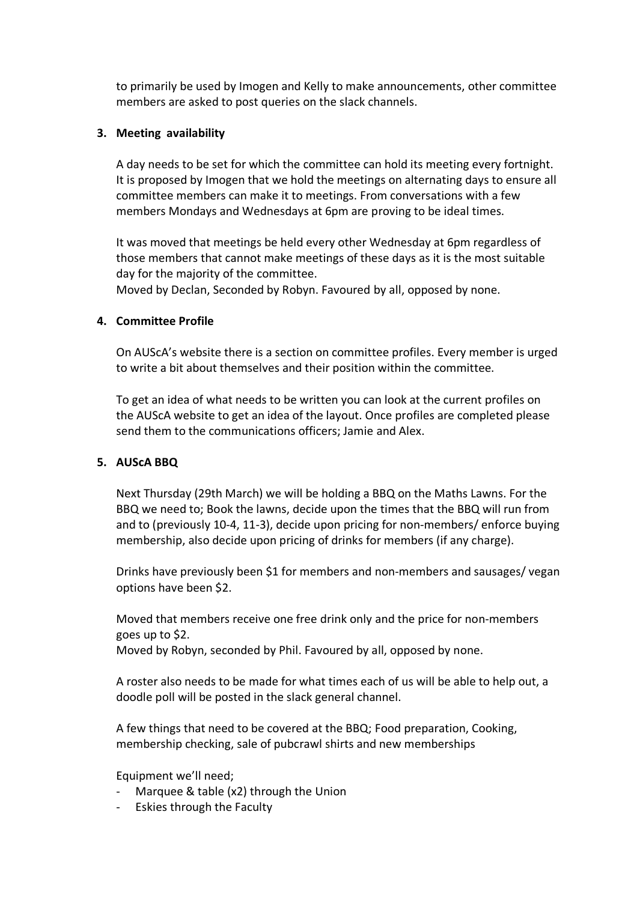to primarily be used by Imogen and Kelly to make announcements, other committee members are asked to post queries on the slack channels.

## **3. Meeting availability**

A day needs to be set for which the committee can hold its meeting every fortnight. It is proposed by Imogen that we hold the meetings on alternating days to ensure all committee members can make it to meetings. From conversations with a few members Mondays and Wednesdays at 6pm are proving to be ideal times.

It was moved that meetings be held every other Wednesday at 6pm regardless of those members that cannot make meetings of these days as it is the most suitable day for the majority of the committee.

Moved by Declan, Seconded by Robyn. Favoured by all, opposed by none.

# **4. Committee Profile**

On AUScA's website there is a section on committee profiles. Every member is urged to write a bit about themselves and their position within the committee.

To get an idea of what needs to be written you can look at the current profiles on the AUScA website to get an idea of the layout. Once profiles are completed please send them to the communications officers; Jamie and Alex.

### **5. AUScA BBQ**

Next Thursday (29th March) we will be holding a BBQ on the Maths Lawns. For the BBQ we need to; Book the lawns, decide upon the times that the BBQ will run from and to (previously 10-4, 11-3), decide upon pricing for non-members/ enforce buying membership, also decide upon pricing of drinks for members (if any charge).

Drinks have previously been \$1 for members and non-members and sausages/ vegan options have been \$2.

Moved that members receive one free drink only and the price for non-members goes up to \$2.

Moved by Robyn, seconded by Phil. Favoured by all, opposed by none.

A roster also needs to be made for what times each of us will be able to help out, a doodle poll will be posted in the slack general channel.

A few things that need to be covered at the BBQ; Food preparation, Cooking, membership checking, sale of pubcrawl shirts and new memberships

Equipment we'll need;

- Marquee  $&$  table (x2) through the Union
- Eskies through the Faculty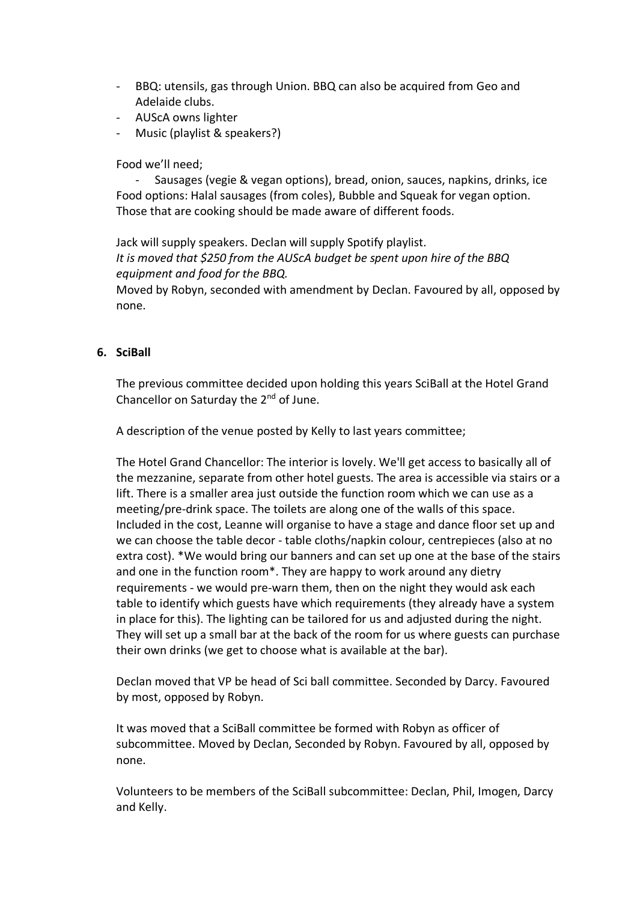- BBQ: utensils, gas through Union. BBQ can also be acquired from Geo and Adelaide clubs.
- AUScA owns lighter
- Music (playlist & speakers?)

## Food we'll need;

- Sausages (vegie & vegan options), bread, onion, sauces, napkins, drinks, ice Food options: Halal sausages (from coles), Bubble and Squeak for vegan option. Those that are cooking should be made aware of different foods.

Jack will supply speakers. Declan will supply Spotify playlist. *It is moved that \$250 from the AUScA budget be spent upon hire of the BBQ equipment and food for the BBQ.*

Moved by Robyn, seconded with amendment by Declan. Favoured by all, opposed by none.

### **6. SciBall**

The previous committee decided upon holding this years SciBall at the Hotel Grand Chancellor on Saturday the  $2^{nd}$  of June.

A description of the venue posted by Kelly to last years committee;

The Hotel Grand Chancellor: The interior is lovely. We'll get access to basically all of the mezzanine, separate from other hotel guests. The area is accessible via stairs or a lift. There is a smaller area just outside the function room which we can use as a meeting/pre-drink space. The toilets are along one of the walls of this space. Included in the cost, Leanne will organise to have a stage and dance floor set up and we can choose the table decor - table cloths/napkin colour, centrepieces (also at no extra cost). \*We would bring our banners and can set up one at the base of the stairs and one in the function room\*. They are happy to work around any dietry requirements - we would pre-warn them, then on the night they would ask each table to identify which guests have which requirements (they already have a system in place for this). The lighting can be tailored for us and adjusted during the night. They will set up a small bar at the back of the room for us where guests can purchase their own drinks (we get to choose what is available at the bar).

Declan moved that VP be head of Sci ball committee. Seconded by Darcy. Favoured by most, opposed by Robyn.

It was moved that a SciBall committee be formed with Robyn as officer of subcommittee. Moved by Declan, Seconded by Robyn. Favoured by all, opposed by none.

Volunteers to be members of the SciBall subcommittee: Declan, Phil, Imogen, Darcy and Kelly.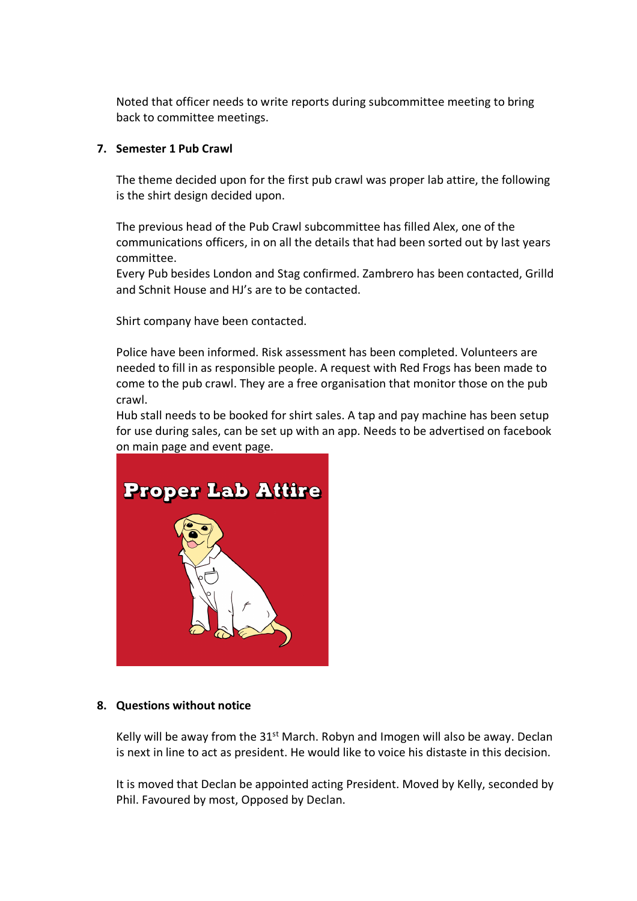Noted that officer needs to write reports during subcommittee meeting to bring back to committee meetings.

# **7. Semester 1 Pub Crawl**

The theme decided upon for the first pub crawl was proper lab attire, the following is the shirt design decided upon.

The previous head of the Pub Crawl subcommittee has filled Alex, one of the communications officers, in on all the details that had been sorted out by last years committee.

Every Pub besides London and Stag confirmed. Zambrero has been contacted, Grilld and Schnit House and HJ's are to be contacted.

Shirt company have been contacted.

Police have been informed. Risk assessment has been completed. Volunteers are needed to fill in as responsible people. A request with Red Frogs has been made to come to the pub crawl. They are a free organisation that monitor those on the pub crawl.

Hub stall needs to be booked for shirt sales. A tap and pay machine has been setup for use during sales, can be set up with an app. Needs to be advertised on facebook on main page and event page.



### **8. Questions without notice**

Kelly will be away from the 31<sup>st</sup> March. Robyn and Imogen will also be away. Declan is next in line to act as president. He would like to voice his distaste in this decision.

It is moved that Declan be appointed acting President. Moved by Kelly, seconded by Phil. Favoured by most, Opposed by Declan.